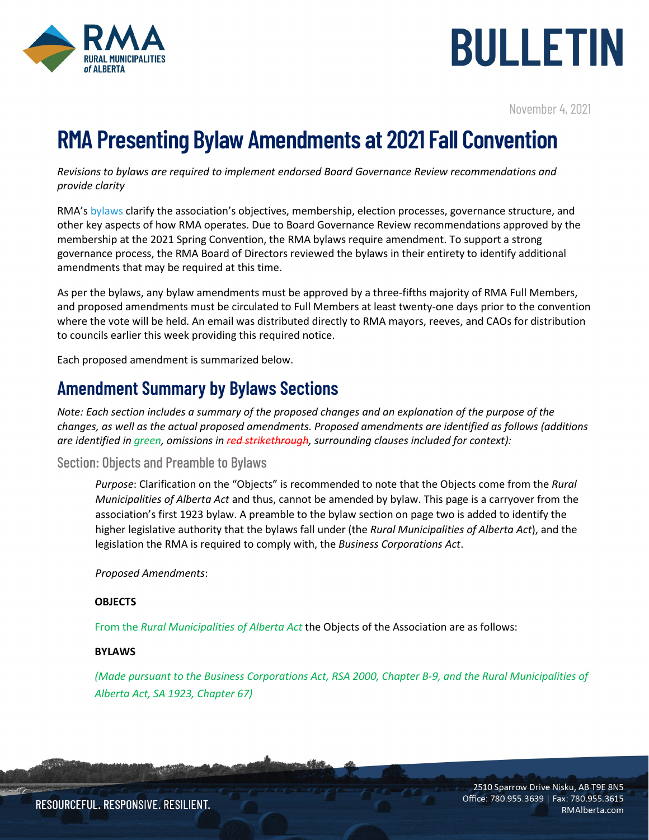

# BULLETIN

November 4, 2021

## **RMA Presenting Bylaw Amendments at 2021 Fall Convention**

*Revisions to bylaws are required to implement endorsed Board Governance Review recommendations and provide clarity*

RMA's [bylaws](https://rmalberta.com/wp-content/uploads/2019/02/rma-bylaws-2018-final.pdf) clarify the association's objectives, membership, election processes, governance structure, and other key aspects of how RMA operates. Due to Board Governance Review recommendations approved by the membership at the 2021 Spring Convention, the RMA bylaws require amendment. To support a strong governance process, the RMA Board of Directors reviewed the bylaws in their entirety to identify additional amendments that may be required at this time.

As per the bylaws, any bylaw amendments must be approved by a three-fifths majority of RMA Full Members, and proposed amendments must be circulated to Full Members at least twenty-one days prior to the convention where the vote will be held. An email was distributed directly to RMA mayors, reeves, and CAOs for distribution to councils earlier this week providing this required notice.

Each proposed amendment is summarized below.

### **Amendment Summary by Bylaws Sections**

*Note: Each section includes a summary of the proposed changes and an explanation of the purpose of the changes, as well as the actual proposed amendments. Proposed amendments are identified as follows (additions are identified in green, omissions in red strikethrough, surrounding clauses included for context):* 

#### Section: Objects and Preamble to Bylaws

*Purpose*: Clarification on the "Objects" is recommended to note that the Objects come from the *Rural Municipalities of Alberta Act* and thus, cannot be amended by bylaw. This page is a carryover from the association's first 1923 bylaw. A preamble to the bylaw section on page two is added to identify the higher legislative authority that the bylaws fall under (the *Rural Municipalities of Alberta Act*), and the legislation the RMA is required to comply with, the *Business Corporations Act*.

*Proposed Amendments*:

#### **OBJECTS**

From the *Rural Municipalities of Alberta Act* the Objects of the Association are as follows:

#### **BYLAWS**

*(Made pursuant to the Business Corporations Act, RSA 2000, Chapter B-9, and the Rural Municipalities of Alberta Act, SA 1923, Chapter 67)*

> 2510 Sparrow Drive Nisku, AB T9E 8N5 Office: 780.955.3639 | Fax: 780.955.3615 RMAlberta.com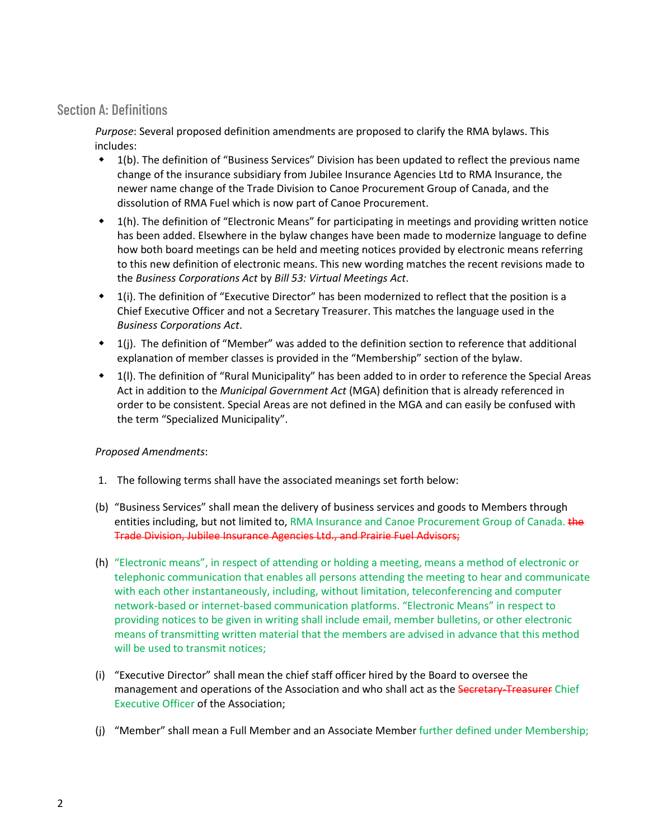#### Section A: Definitions

*Purpose*: Several proposed definition amendments are proposed to clarify the RMA bylaws. This includes:

- 1(b). The definition of "Business Services" Division has been updated to reflect the previous name change of the insurance subsidiary from Jubilee Insurance Agencies Ltd to RMA Insurance, the newer name change of the Trade Division to Canoe Procurement Group of Canada, and the dissolution of RMA Fuel which is now part of Canoe Procurement.
- 1(h). The definition of "Electronic Means" for participating in meetings and providing written notice has been added. Elsewhere in the bylaw changes have been made to modernize language to define how both board meetings can be held and meeting notices provided by electronic means referring to this new definition of electronic means. This new wording matches the recent revisions made to the *Business Corporations Act* by *[Bill 53: Virtual Meetings Act](https://www.assembly.ab.ca/assembly-business/bills/bill?billinfoid=11895&from=bills)*.
- 1(i). The definition of "Executive Director" has been modernized to reflect that the position is a Chief Executive Officer and not a Secretary Treasurer. This matches the language used in the *Business Corporations Act*.
- $\bullet$  1(i). The definition of "Member" was added to the definition section to reference that additional explanation of member classes is provided in the "Membership" section of the bylaw.
- 1(l). The definition of "Rural Municipality" has been added to in order to reference the Special Areas Act in addition to the *Municipal Government Act* (MGA) definition that is already referenced in order to be consistent. Special Areas are not defined in the MGA and can easily be confused with the term "Specialized Municipality".

#### *Proposed Amendments*:

- 1. The following terms shall have the associated meanings set forth below:
- (b) "Business Services" shall mean the delivery of business services and goods to Members through entities including, but not limited to, RMA Insurance and Canoe Procurement Group of Canada. the Trade Division, Jubilee Insurance Agencies Ltd., and Prairie Fuel Advisors;
- (h) "Electronic means", in respect of attending or holding a meeting, means a method of electronic or telephonic communication that enables all persons attending the meeting to hear and communicate with each other instantaneously, including, without limitation, teleconferencing and computer network-based or internet-based communication platforms. "Electronic Means" in respect to providing notices to be given in writing shall include email, member bulletins, or other electronic means of transmitting written material that the members are advised in advance that this method will be used to transmit notices;
- (i) "Executive Director" shall mean the chief staff officer hired by the Board to oversee the management and operations of the Association and who shall act as the Secretary-Treasurer Chief Executive Officer of the Association;
- (j) "Member" shall mean a Full Member and an Associate Member further defined under Membership;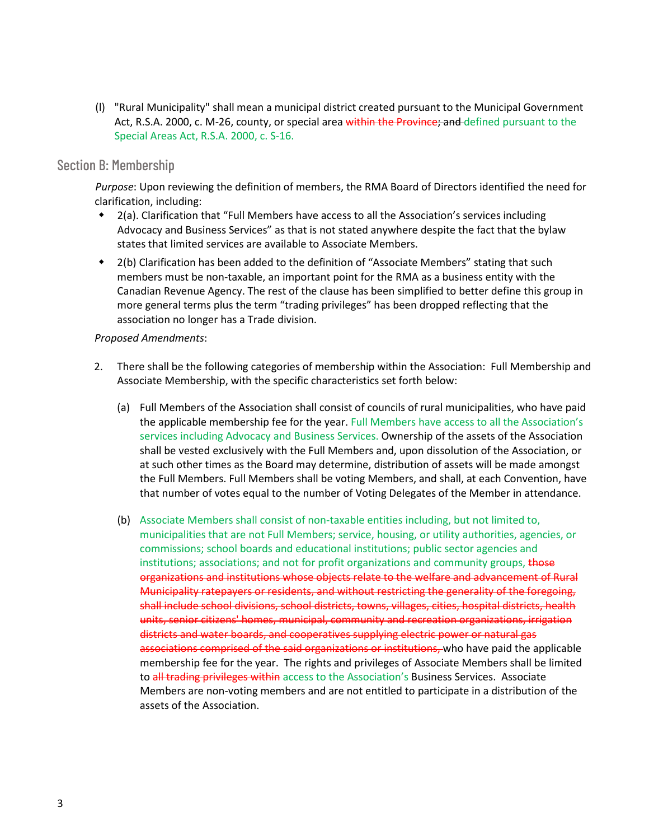(l) "Rural Municipality" shall mean a municipal district created pursuant to the Municipal Government Act, R.S.A. 2000, c. M-26, county, or special area within the Province; and defined pursuant to the Special Areas Act, R.S.A. 2000, c. S-16.

#### Section B: Membership

*Purpose*: Upon reviewing the definition of members, the RMA Board of Directors identified the need for clarification, including:

- 2(a). Clarification that "Full Members have access to all the Association's services including Advocacy and Business Services" as that is not stated anywhere despite the fact that the bylaw states that limited services are available to Associate Members.
- 2(b) Clarification has been added to the definition of "Associate Members" stating that such members must be non-taxable, an important point for the RMA as a business entity with the Canadian Revenue Agency. The rest of the clause has been simplified to better define this group in more general terms plus the term "trading privileges" has been dropped reflecting that the association no longer has a Trade division.

#### *Proposed Amendments*:

- 2. There shall be the following categories of membership within the Association: Full Membership and Associate Membership, with the specific characteristics set forth below:
	- (a) Full Members of the Association shall consist of councils of rural municipalities, who have paid the applicable membership fee for the year. Full Members have access to all the Association's services including Advocacy and Business Services. Ownership of the assets of the Association shall be vested exclusively with the Full Members and, upon dissolution of the Association, or at such other times as the Board may determine, distribution of assets will be made amongst the Full Members. Full Members shall be voting Members, and shall, at each Convention, have that number of votes equal to the number of Voting Delegates of the Member in attendance.
	- (b) Associate Members shall consist of non-taxable entities including, but not limited to, municipalities that are not Full Members; service, housing, or utility authorities, agencies, or commissions; school boards and educational institutions; public sector agencies and institutions; associations; and not for profit organizations and community groups, those organizations and institutions whose objects relate to the welfare and advancement of Rural Municipality ratepayers or residents, and without restricting the generality of the foregoing, shall include school divisions, school districts, towns, villages, cities, hospital districts, health units, senior citizens' homes, municipal, community and recreation organizations, irrigation districts and water boards, and cooperatives supplying electric power or natural gas associations comprised of the said organizations or institutions, who have paid the applicable membership fee for the year. The rights and privileges of Associate Members shall be limited to all trading privileges within access to the Association's Business Services. Associate Members are non-voting members and are not entitled to participate in a distribution of the assets of the Association.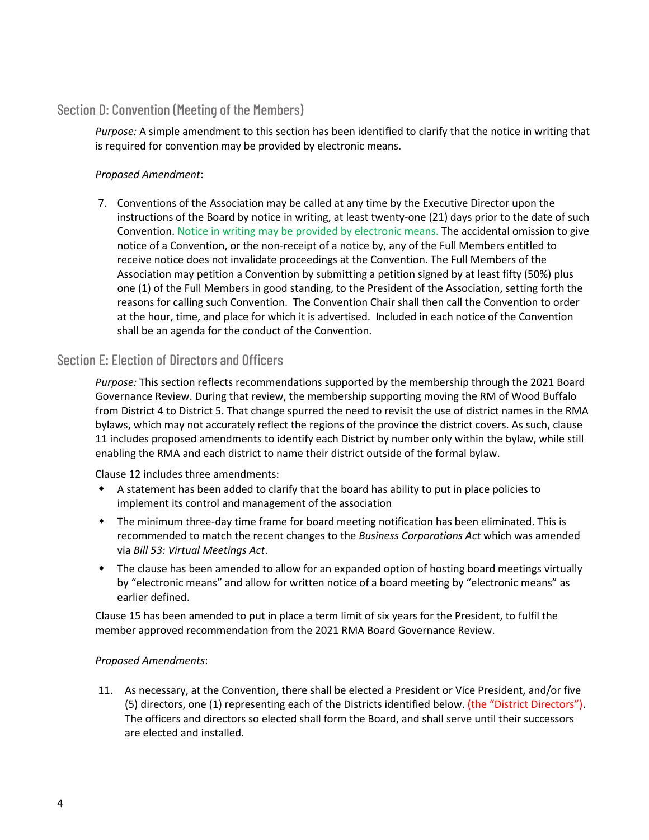#### Section D: Convention (Meeting of the Members)

*Purpose:* A simple amendment to this section has been identified to clarify that the notice in writing that is required for convention may be provided by electronic means.

#### *Proposed Amendment*:

7. Conventions of the Association may be called at any time by the Executive Director upon the instructions of the Board by notice in writing, at least twenty-one (21) days prior to the date of such Convention. Notice in writing may be provided by electronic means. The accidental omission to give notice of a Convention, or the non-receipt of a notice by, any of the Full Members entitled to receive notice does not invalidate proceedings at the Convention. The Full Members of the Association may petition a Convention by submitting a petition signed by at least fifty (50%) plus one (1) of the Full Members in good standing, to the President of the Association, setting forth the reasons for calling such Convention. The Convention Chair shall then call the Convention to order at the hour, time, and place for which it is advertised. Included in each notice of the Convention shall be an agenda for the conduct of the Convention.

#### Section E: Election of Directors and Officers

*Purpose:* This section reflects recommendations supported by the membership through the 2021 Board Governance Review. During that review, the membership supporting moving the RM of Wood Buffalo from District 4 to District 5. That change spurred the need to revisit the use of district names in the RMA bylaws, which may not accurately reflect the regions of the province the district covers. As such, clause 11 includes proposed amendments to identify each District by number only within the bylaw, while still enabling the RMA and each district to name their district outside of the formal bylaw.

Clause 12 includes three amendments:

- A statement has been added to clarify that the board has ability to put in place policies to implement its control and management of the association
- The minimum three-day time frame for board meeting notification has been eliminated. This is recommended to match the recent changes to the *Business Corporations Act* which was amended via *Bill 53: Virtual Meetings Act*.
- The clause has been amended to allow for an expanded option of hosting board meetings virtually by "electronic means" and allow for written notice of a board meeting by "electronic means" as earlier defined.

Clause 15 has been amended to put in place a term limit of six years for the President, to fulfil the member approved recommendation from the 2021 RMA Board Governance Review.

#### *Proposed Amendments*:

11. As necessary, at the Convention, there shall be elected a President or Vice President, and/or five (5) directors, one (1) representing each of the Districts identified below. (the "District Directors"). The officers and directors so elected shall form the Board, and shall serve until their successors are elected and installed.